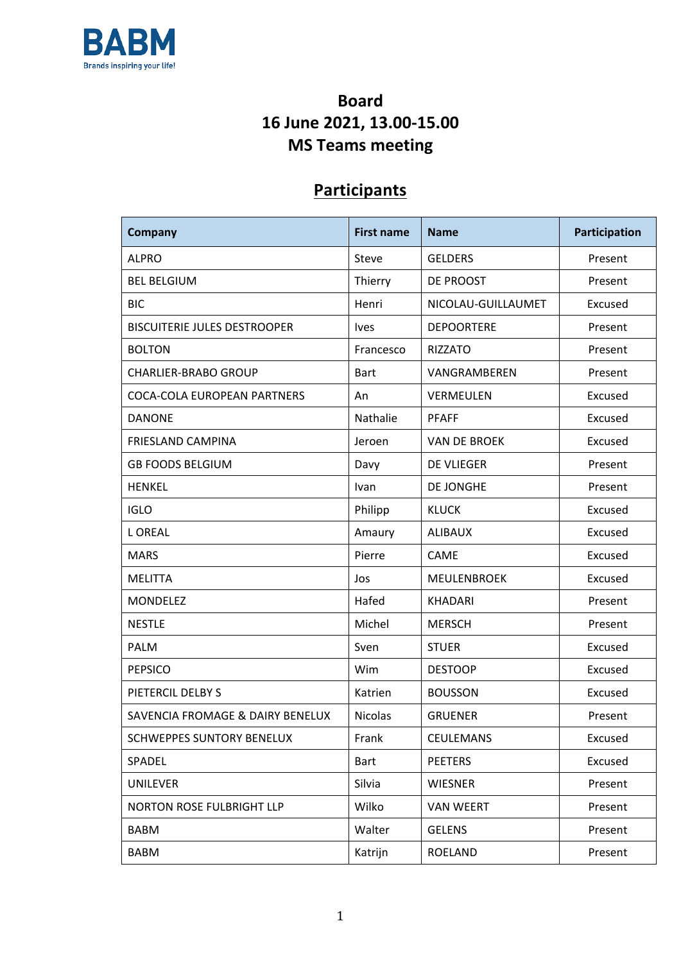

## **Board 16 June 2021, 13.00-15.00 MS Teams meeting**

## **Participants**

| Company                             | <b>First name</b><br><b>Name</b> |                             | Participation |
|-------------------------------------|----------------------------------|-----------------------------|---------------|
| <b>ALPRO</b>                        | Steve                            | <b>GELDERS</b>              | Present       |
| <b>BEL BELGIUM</b>                  | Thierry                          | DE PROOST                   | Present       |
| <b>BIC</b>                          | Henri                            | NICOLAU-GUILLAUMET          | Excused       |
| <b>BISCUITERIE JULES DESTROOPER</b> | Ives                             | <b>DEPOORTERE</b>           | Present       |
| <b>BOLTON</b>                       | Francesco                        | <b>RIZZATO</b>              | Present       |
| <b>CHARLIER-BRABO GROUP</b>         | <b>Bart</b>                      | VANGRAMBEREN                | Present       |
| <b>COCA-COLA EUROPEAN PARTNERS</b>  | An                               | VERMEULEN                   | Excused       |
| <b>DANONE</b>                       | Nathalie                         | <b>PFAFF</b>                | Excused       |
| <b>FRIESLAND CAMPINA</b>            | Jeroen                           | <b>VAN DE BROEK</b>         | Excused       |
| <b>GB FOODS BELGIUM</b>             | Davy                             | <b>DE VLIEGER</b>           | Present       |
| <b>HENKEL</b>                       | Ivan                             | DE JONGHE                   | Present       |
| <b>IGLO</b>                         | Philipp                          | <b>KLUCK</b>                | Excused       |
| <b>LOREAL</b>                       | Amaury                           | <b>ALIBAUX</b>              | Excused       |
| <b>MARS</b>                         | Pierre                           | <b>CAME</b>                 | Excused       |
| <b>MELITTA</b>                      | Jos                              | <b>MEULENBROEK</b>          | Excused       |
| <b>MONDELEZ</b>                     | Hafed                            | <b>KHADARI</b>              | Present       |
| <b>NESTLE</b>                       | Michel                           | <b>MERSCH</b>               | Present       |
| <b>PALM</b>                         | Sven                             | <b>STUER</b>                | Excused       |
| <b>PEPSICO</b>                      | Wim                              | <b>DESTOOP</b>              | Excused       |
| PIETERCIL DELBY S                   | Katrien                          | <b>BOUSSON</b>              | Excused       |
| SAVENCIA FROMAGE & DAIRY BENELUX    | <b>Nicolas</b>                   | <b>GRUENER</b>              | Present       |
| <b>SCHWEPPES SUNTORY BENELUX</b>    | Frank                            | <b>CEULEMANS</b>            | Excused       |
| SPADEL                              | <b>Bart</b>                      | <b>PEETERS</b>              | Excused       |
| <b>UNILEVER</b>                     | Silvia                           | <b>WIESNER</b>              | Present       |
| NORTON ROSE FULBRIGHT LLP           | Wilko                            | <b>VAN WEERT</b><br>Present |               |
| <b>BABM</b>                         | Walter                           | <b>GELENS</b>               | Present       |
| <b>BABM</b>                         | Katrijn                          | <b>ROELAND</b>              | Present       |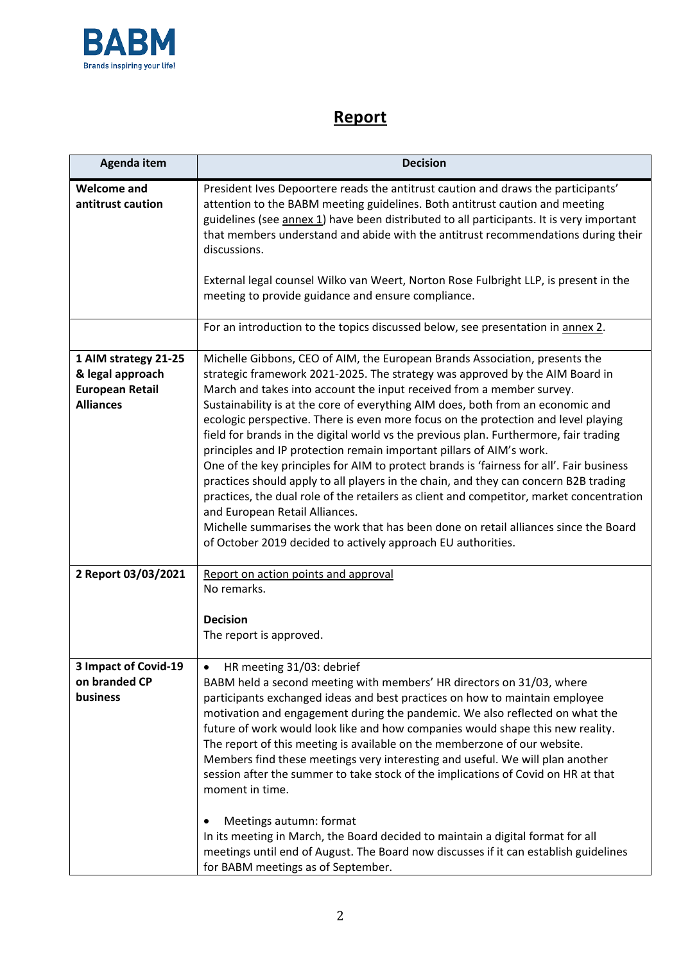

## **Report**

| Agenda item                                                                            | <b>Decision</b>                                                                                                                                                                                                                                                                                                                                                                                                                                                                                                                                                                                                                                                                                                                                                                                                                                                                                                                                                                                                                                         |
|----------------------------------------------------------------------------------------|---------------------------------------------------------------------------------------------------------------------------------------------------------------------------------------------------------------------------------------------------------------------------------------------------------------------------------------------------------------------------------------------------------------------------------------------------------------------------------------------------------------------------------------------------------------------------------------------------------------------------------------------------------------------------------------------------------------------------------------------------------------------------------------------------------------------------------------------------------------------------------------------------------------------------------------------------------------------------------------------------------------------------------------------------------|
| <b>Welcome and</b><br>antitrust caution                                                | President Ives Depoortere reads the antitrust caution and draws the participants'<br>attention to the BABM meeting guidelines. Both antitrust caution and meeting<br>guidelines (see annex 1) have been distributed to all participants. It is very important<br>that members understand and abide with the antitrust recommendations during their<br>discussions.<br>External legal counsel Wilko van Weert, Norton Rose Fulbright LLP, is present in the<br>meeting to provide guidance and ensure compliance.                                                                                                                                                                                                                                                                                                                                                                                                                                                                                                                                        |
|                                                                                        | For an introduction to the topics discussed below, see presentation in annex 2.                                                                                                                                                                                                                                                                                                                                                                                                                                                                                                                                                                                                                                                                                                                                                                                                                                                                                                                                                                         |
| 1 AIM strategy 21-25<br>& legal approach<br><b>European Retail</b><br><b>Alliances</b> | Michelle Gibbons, CEO of AIM, the European Brands Association, presents the<br>strategic framework 2021-2025. The strategy was approved by the AIM Board in<br>March and takes into account the input received from a member survey.<br>Sustainability is at the core of everything AIM does, both from an economic and<br>ecologic perspective. There is even more focus on the protection and level playing<br>field for brands in the digital world vs the previous plan. Furthermore, fair trading<br>principles and IP protection remain important pillars of AIM's work.<br>One of the key principles for AIM to protect brands is 'fairness for all'. Fair business<br>practices should apply to all players in the chain, and they can concern B2B trading<br>practices, the dual role of the retailers as client and competitor, market concentration<br>and European Retail Alliances.<br>Michelle summarises the work that has been done on retail alliances since the Board<br>of October 2019 decided to actively approach EU authorities. |
| 2 Report 03/03/2021                                                                    | Report on action points and approval<br>No remarks.<br><b>Decision</b><br>The report is approved.                                                                                                                                                                                                                                                                                                                                                                                                                                                                                                                                                                                                                                                                                                                                                                                                                                                                                                                                                       |
| 3 Impact of Covid-19<br>on branded CP<br>business                                      | HR meeting 31/03: debrief<br>BABM held a second meeting with members' HR directors on 31/03, where<br>participants exchanged ideas and best practices on how to maintain employee<br>motivation and engagement during the pandemic. We also reflected on what the<br>future of work would look like and how companies would shape this new reality.<br>The report of this meeting is available on the memberzone of our website.<br>Members find these meetings very interesting and useful. We will plan another<br>session after the summer to take stock of the implications of Covid on HR at that<br>moment in time.<br>Meetings autumn: format<br>In its meeting in March, the Board decided to maintain a digital format for all<br>meetings until end of August. The Board now discusses if it can establish guidelines<br>for BABM meetings as of September.                                                                                                                                                                                   |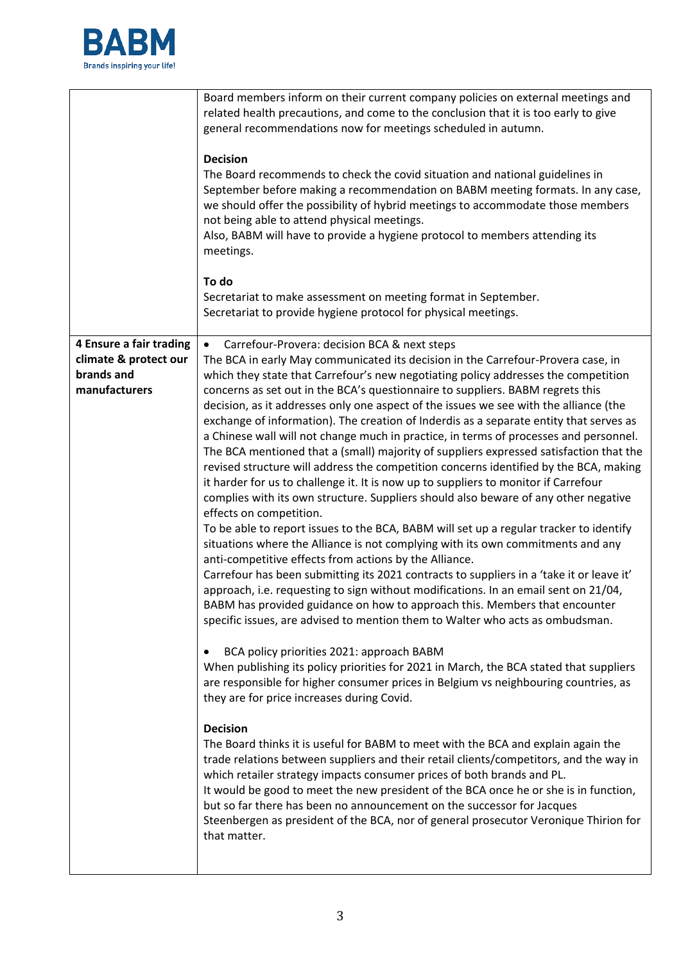

|                                                                | Board members inform on their current company policies on external meetings and<br>related health precautions, and come to the conclusion that it is too early to give<br>general recommendations now for meetings scheduled in autumn.<br><b>Decision</b><br>The Board recommends to check the covid situation and national guidelines in<br>September before making a recommendation on BABM meeting formats. In any case,<br>we should offer the possibility of hybrid meetings to accommodate those members<br>not being able to attend physical meetings.<br>Also, BABM will have to provide a hygiene protocol to members attending its<br>meetings.<br>To do<br>Secretariat to make assessment on meeting format in September.<br>Secretariat to provide hygiene protocol for physical meetings.                                                                                                                                                                                                                                                                                                                                                                                                                                                                                                                                                                                                                                                                                                                                                                                                                                                                                                                                                                                                                                                                                                                                                                                                                                                                                                                                                                                        |
|----------------------------------------------------------------|------------------------------------------------------------------------------------------------------------------------------------------------------------------------------------------------------------------------------------------------------------------------------------------------------------------------------------------------------------------------------------------------------------------------------------------------------------------------------------------------------------------------------------------------------------------------------------------------------------------------------------------------------------------------------------------------------------------------------------------------------------------------------------------------------------------------------------------------------------------------------------------------------------------------------------------------------------------------------------------------------------------------------------------------------------------------------------------------------------------------------------------------------------------------------------------------------------------------------------------------------------------------------------------------------------------------------------------------------------------------------------------------------------------------------------------------------------------------------------------------------------------------------------------------------------------------------------------------------------------------------------------------------------------------------------------------------------------------------------------------------------------------------------------------------------------------------------------------------------------------------------------------------------------------------------------------------------------------------------------------------------------------------------------------------------------------------------------------------------------------------------------------------------------------------------------------|
| 4 Ensure a fair trading<br>climate & protect our<br>brands and | Carrefour-Provera: decision BCA & next steps<br>The BCA in early May communicated its decision in the Carrefour-Provera case, in<br>which they state that Carrefour's new negotiating policy addresses the competition                                                                                                                                                                                                                                                                                                                                                                                                                                                                                                                                                                                                                                                                                                                                                                                                                                                                                                                                                                                                                                                                                                                                                                                                                                                                                                                                                                                                                                                                                                                                                                                                                                                                                                                                                                                                                                                                                                                                                                         |
| manufacturers                                                  | concerns as set out in the BCA's questionnaire to suppliers. BABM regrets this<br>decision, as it addresses only one aspect of the issues we see with the alliance (the<br>exchange of information). The creation of Inderdis as a separate entity that serves as<br>a Chinese wall will not change much in practice, in terms of processes and personnel.<br>The BCA mentioned that a (small) majority of suppliers expressed satisfaction that the<br>revised structure will address the competition concerns identified by the BCA, making<br>it harder for us to challenge it. It is now up to suppliers to monitor if Carrefour<br>complies with its own structure. Suppliers should also beware of any other negative<br>effects on competition.<br>To be able to report issues to the BCA, BABM will set up a regular tracker to identify<br>situations where the Alliance is not complying with its own commitments and any<br>anti-competitive effects from actions by the Alliance.<br>Carrefour has been submitting its 2021 contracts to suppliers in a 'take it or leave it'<br>approach, i.e. requesting to sign without modifications. In an email sent on 21/04,<br>BABM has provided guidance on how to approach this. Members that encounter<br>specific issues, are advised to mention them to Walter who acts as ombudsman.<br>BCA policy priorities 2021: approach BABM<br>$\bullet$<br>When publishing its policy priorities for 2021 in March, the BCA stated that suppliers<br>are responsible for higher consumer prices in Belgium vs neighbouring countries, as<br>they are for price increases during Covid.<br><b>Decision</b><br>The Board thinks it is useful for BABM to meet with the BCA and explain again the<br>trade relations between suppliers and their retail clients/competitors, and the way in<br>which retailer strategy impacts consumer prices of both brands and PL.<br>It would be good to meet the new president of the BCA once he or she is in function,<br>but so far there has been no announcement on the successor for Jacques<br>Steenbergen as president of the BCA, nor of general prosecutor Veronique Thirion for<br>that matter. |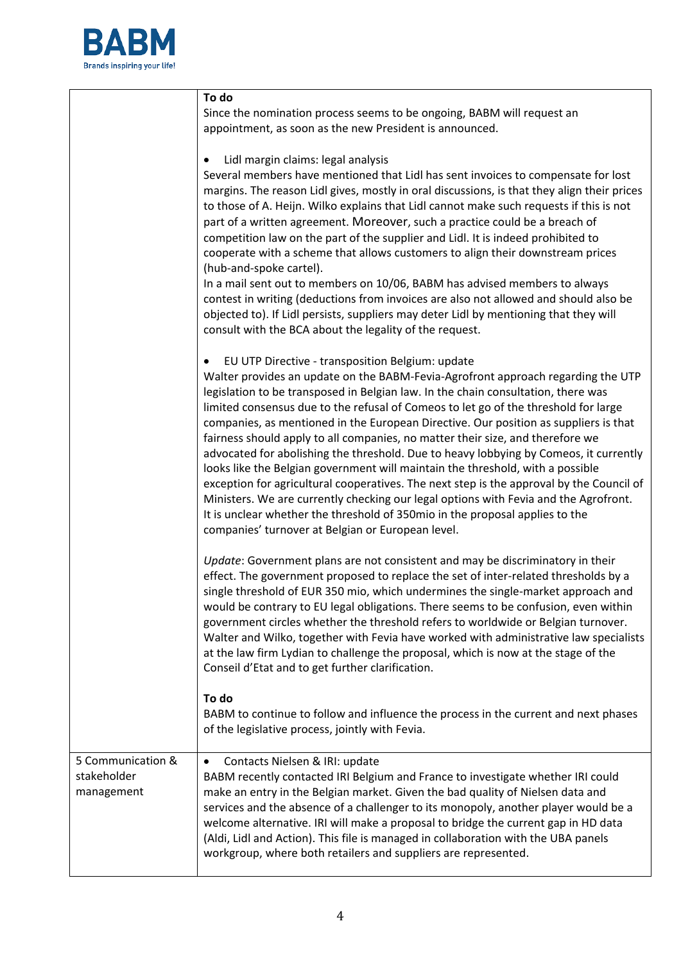

|                                                | To do                                                                                                                                                                                                                                                                                                                                                                                                                                                                                                                                                                                                                                                                                                                                                                                                                                                                                                                                                                                          |  |  |
|------------------------------------------------|------------------------------------------------------------------------------------------------------------------------------------------------------------------------------------------------------------------------------------------------------------------------------------------------------------------------------------------------------------------------------------------------------------------------------------------------------------------------------------------------------------------------------------------------------------------------------------------------------------------------------------------------------------------------------------------------------------------------------------------------------------------------------------------------------------------------------------------------------------------------------------------------------------------------------------------------------------------------------------------------|--|--|
|                                                | Since the nomination process seems to be ongoing, BABM will request an<br>appointment, as soon as the new President is announced.                                                                                                                                                                                                                                                                                                                                                                                                                                                                                                                                                                                                                                                                                                                                                                                                                                                              |  |  |
|                                                | Lidl margin claims: legal analysis<br>$\bullet$<br>Several members have mentioned that Lidl has sent invoices to compensate for lost<br>margins. The reason Lidl gives, mostly in oral discussions, is that they align their prices<br>to those of A. Heijn. Wilko explains that Lidl cannot make such requests if this is not<br>part of a written agreement. Moreover, such a practice could be a breach of<br>competition law on the part of the supplier and Lidl. It is indeed prohibited to<br>cooperate with a scheme that allows customers to align their downstream prices<br>(hub-and-spoke cartel).<br>In a mail sent out to members on 10/06, BABM has advised members to always<br>contest in writing (deductions from invoices are also not allowed and should also be<br>objected to). If Lidl persists, suppliers may deter Lidl by mentioning that they will<br>consult with the BCA about the legality of the request.                                                       |  |  |
|                                                | EU UTP Directive - transposition Belgium: update<br>Walter provides an update on the BABM-Fevia-Agrofront approach regarding the UTP<br>legislation to be transposed in Belgian law. In the chain consultation, there was<br>limited consensus due to the refusal of Comeos to let go of the threshold for large<br>companies, as mentioned in the European Directive. Our position as suppliers is that<br>fairness should apply to all companies, no matter their size, and therefore we<br>advocated for abolishing the threshold. Due to heavy lobbying by Comeos, it currently<br>looks like the Belgian government will maintain the threshold, with a possible<br>exception for agricultural cooperatives. The next step is the approval by the Council of<br>Ministers. We are currently checking our legal options with Fevia and the Agrofront.<br>It is unclear whether the threshold of 350mio in the proposal applies to the<br>companies' turnover at Belgian or European level. |  |  |
|                                                | Update: Government plans are not consistent and may be discriminatory in their<br>effect. The government proposed to replace the set of inter-related thresholds by a<br>single threshold of EUR 350 mio, which undermines the single-market approach and<br>would be contrary to EU legal obligations. There seems to be confusion, even within<br>government circles whether the threshold refers to worldwide or Belgian turnover.<br>Walter and Wilko, together with Fevia have worked with administrative law specialists<br>at the law firm Lydian to challenge the proposal, which is now at the stage of the<br>Conseil d'Etat and to get further clarification.                                                                                                                                                                                                                                                                                                                       |  |  |
|                                                | To do<br>BABM to continue to follow and influence the process in the current and next phases<br>of the legislative process, jointly with Fevia.                                                                                                                                                                                                                                                                                                                                                                                                                                                                                                                                                                                                                                                                                                                                                                                                                                                |  |  |
| 5 Communication &<br>stakeholder<br>management | Contacts Nielsen & IRI: update<br>$\bullet$<br>BABM recently contacted IRI Belgium and France to investigate whether IRI could<br>make an entry in the Belgian market. Given the bad quality of Nielsen data and<br>services and the absence of a challenger to its monopoly, another player would be a<br>welcome alternative. IRI will make a proposal to bridge the current gap in HD data<br>(Aldi, Lidl and Action). This file is managed in collaboration with the UBA panels<br>workgroup, where both retailers and suppliers are represented.                                                                                                                                                                                                                                                                                                                                                                                                                                          |  |  |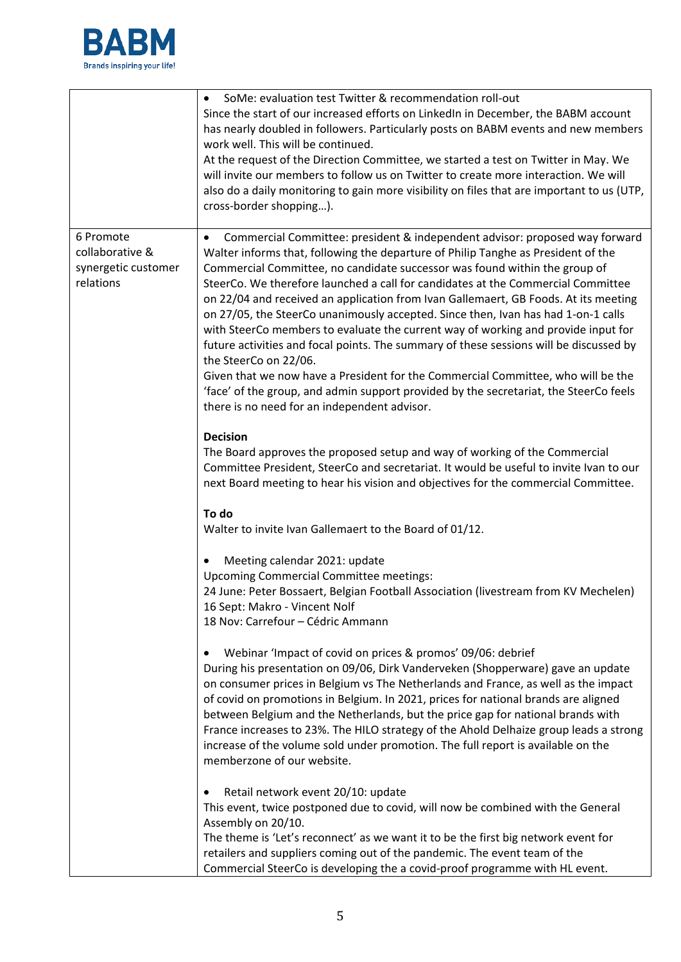

|                                                                  | SoMe: evaluation test Twitter & recommendation roll-out<br>Since the start of our increased efforts on LinkedIn in December, the BABM account<br>has nearly doubled in followers. Particularly posts on BABM events and new members<br>work well. This will be continued.<br>At the request of the Direction Committee, we started a test on Twitter in May. We<br>will invite our members to follow us on Twitter to create more interaction. We will<br>also do a daily monitoring to gain more visibility on files that are important to us (UTP,<br>cross-border shopping).                                                                                                                                                                                                                                                                                                                                                                                                     |
|------------------------------------------------------------------|-------------------------------------------------------------------------------------------------------------------------------------------------------------------------------------------------------------------------------------------------------------------------------------------------------------------------------------------------------------------------------------------------------------------------------------------------------------------------------------------------------------------------------------------------------------------------------------------------------------------------------------------------------------------------------------------------------------------------------------------------------------------------------------------------------------------------------------------------------------------------------------------------------------------------------------------------------------------------------------|
| 6 Promote<br>collaborative &<br>synergetic customer<br>relations | Commercial Committee: president & independent advisor: proposed way forward<br>$\bullet$<br>Walter informs that, following the departure of Philip Tanghe as President of the<br>Commercial Committee, no candidate successor was found within the group of<br>SteerCo. We therefore launched a call for candidates at the Commercial Committee<br>on 22/04 and received an application from Ivan Gallemaert, GB Foods. At its meeting<br>on 27/05, the SteerCo unanimously accepted. Since then, Ivan has had 1-on-1 calls<br>with SteerCo members to evaluate the current way of working and provide input for<br>future activities and focal points. The summary of these sessions will be discussed by<br>the SteerCo on 22/06.<br>Given that we now have a President for the Commercial Committee, who will be the<br>'face' of the group, and admin support provided by the secretariat, the SteerCo feels<br>there is no need for an independent advisor.<br><b>Decision</b> |
|                                                                  | The Board approves the proposed setup and way of working of the Commercial<br>Committee President, SteerCo and secretariat. It would be useful to invite Ivan to our<br>next Board meeting to hear his vision and objectives for the commercial Committee.<br>To do                                                                                                                                                                                                                                                                                                                                                                                                                                                                                                                                                                                                                                                                                                                 |
|                                                                  | Walter to invite Ivan Gallemaert to the Board of 01/12.                                                                                                                                                                                                                                                                                                                                                                                                                                                                                                                                                                                                                                                                                                                                                                                                                                                                                                                             |
|                                                                  | Meeting calendar 2021: update<br><b>Upcoming Commercial Committee meetings:</b><br>24 June: Peter Bossaert, Belgian Football Association (livestream from KV Mechelen)<br>16 Sept: Makro - Vincent Nolf<br>18 Nov: Carrefour - Cédric Ammann                                                                                                                                                                                                                                                                                                                                                                                                                                                                                                                                                                                                                                                                                                                                        |
|                                                                  | Webinar 'Impact of covid on prices & promos' 09/06: debrief<br>During his presentation on 09/06, Dirk Vanderveken (Shopperware) gave an update<br>on consumer prices in Belgium vs The Netherlands and France, as well as the impact<br>of covid on promotions in Belgium. In 2021, prices for national brands are aligned<br>between Belgium and the Netherlands, but the price gap for national brands with<br>France increases to 23%. The HILO strategy of the Ahold Delhaize group leads a strong<br>increase of the volume sold under promotion. The full report is available on the<br>memberzone of our website.                                                                                                                                                                                                                                                                                                                                                            |
|                                                                  | Retail network event 20/10: update<br>This event, twice postponed due to covid, will now be combined with the General<br>Assembly on 20/10.<br>The theme is 'Let's reconnect' as we want it to be the first big network event for<br>retailers and suppliers coming out of the pandemic. The event team of the<br>Commercial SteerCo is developing the a covid-proof programme with HL event.                                                                                                                                                                                                                                                                                                                                                                                                                                                                                                                                                                                       |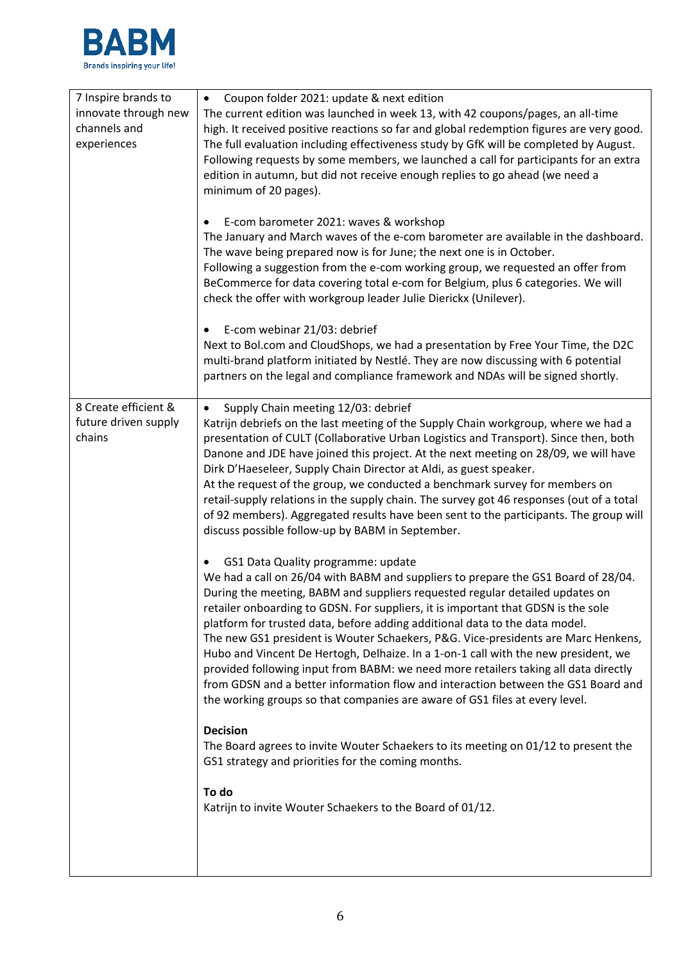

| 7 Inspire brands to  | Coupon folder 2021: update & next edition<br>$\bullet$                                   |
|----------------------|------------------------------------------------------------------------------------------|
| innovate through new | The current edition was launched in week 13, with 42 coupons/pages, an all-time          |
| channels and         | high. It received positive reactions so far and global redemption figures are very good. |
| experiences          | The full evaluation including effectiveness study by GfK will be completed by August.    |
|                      | Following requests by some members, we launched a call for participants for an extra     |
|                      | edition in autumn, but did not receive enough replies to go ahead (we need a             |
|                      | minimum of 20 pages).                                                                    |
|                      |                                                                                          |
|                      | E-com barometer 2021: waves & workshop<br>٠                                              |
|                      | The January and March waves of the e-com barometer are available in the dashboard.       |
|                      | The wave being prepared now is for June; the next one is in October.                     |
|                      | Following a suggestion from the e-com working group, we requested an offer from          |
|                      | BeCommerce for data covering total e-com for Belgium, plus 6 categories. We will         |
|                      | check the offer with workgroup leader Julie Dierickx (Unilever).                         |
|                      |                                                                                          |
|                      | E-com webinar 21/03: debrief<br>٠                                                        |
|                      | Next to Bol.com and CloudShops, we had a presentation by Free Your Time, the D2C         |
|                      | multi-brand platform initiated by Nestlé. They are now discussing with 6 potential       |
|                      | partners on the legal and compliance framework and NDAs will be signed shortly.          |
| 8 Create efficient & | Supply Chain meeting 12/03: debrief                                                      |
| future driven supply | ٠<br>Katrijn debriefs on the last meeting of the Supply Chain workgroup, where we had a  |
| chains               | presentation of CULT (Collaborative Urban Logistics and Transport). Since then, both     |
|                      | Danone and JDE have joined this project. At the next meeting on 28/09, we will have      |
|                      | Dirk D'Haeseleer, Supply Chain Director at Aldi, as guest speaker.                       |
|                      | At the request of the group, we conducted a benchmark survey for members on              |
|                      | retail-supply relations in the supply chain. The survey got 46 responses (out of a total |
|                      | of 92 members). Aggregated results have been sent to the participants. The group will    |
|                      | discuss possible follow-up by BABM in September.                                         |
|                      |                                                                                          |
|                      | GS1 Data Quality programme: update<br>٠                                                  |
|                      | We had a call on 26/04 with BABM and suppliers to prepare the GS1 Board of 28/04.        |
|                      | During the meeting, BABM and suppliers requested regular detailed updates on             |
|                      | retailer onboarding to GDSN. For suppliers, it is important that GDSN is the sole        |
|                      | platform for trusted data, before adding additional data to the data model.              |
|                      | The new GS1 president is Wouter Schaekers, P&G. Vice-presidents are Marc Henkens,        |
|                      | Hubo and Vincent De Hertogh, Delhaize. In a 1-on-1 call with the new president, we       |
|                      | provided following input from BABM: we need more retailers taking all data directly      |
|                      | from GDSN and a better information flow and interaction between the GS1 Board and        |
|                      | the working groups so that companies are aware of GS1 files at every level.              |
|                      | <b>Decision</b>                                                                          |
|                      | The Board agrees to invite Wouter Schaekers to its meeting on 01/12 to present the       |
|                      | GS1 strategy and priorities for the coming months.                                       |
|                      |                                                                                          |
|                      | To do                                                                                    |
|                      | Katrijn to invite Wouter Schaekers to the Board of 01/12.                                |
|                      |                                                                                          |
|                      |                                                                                          |
|                      |                                                                                          |